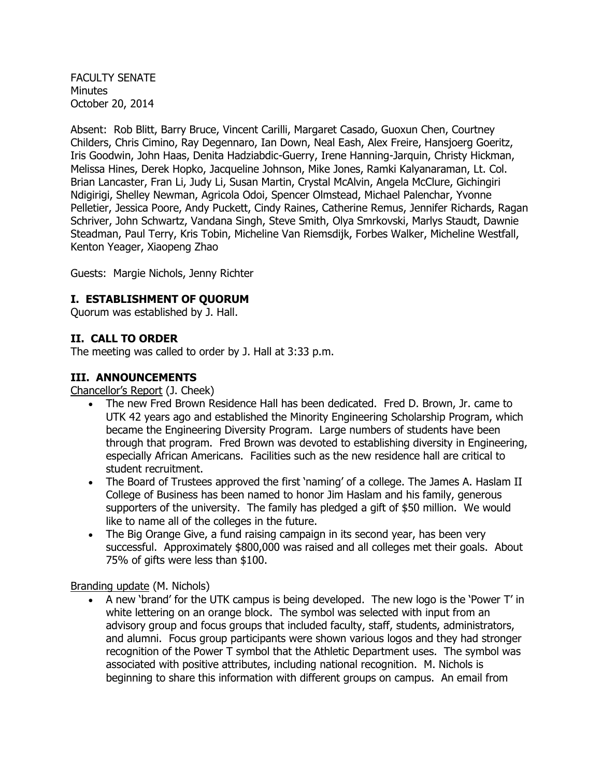FACULTY SENATE Minutes October 20, 2014

Absent: Rob Blitt, Barry Bruce, Vincent Carilli, Margaret Casado, Guoxun Chen, Courtney Childers, Chris Cimino, Ray Degennaro, Ian Down, Neal Eash, Alex Freire, Hansjoerg Goeritz, Iris Goodwin, John Haas, Denita Hadziabdic-Guerry, Irene Hanning-Jarquin, Christy Hickman, Melissa Hines, Derek Hopko, Jacqueline Johnson, Mike Jones, Ramki Kalyanaraman, Lt. Col. Brian Lancaster, Fran Li, Judy Li, Susan Martin, Crystal McAlvin, Angela McClure, Gichingiri Ndigirigi, Shelley Newman, Agricola Odoi, Spencer Olmstead, Michael Palenchar, Yvonne Pelletier, Jessica Poore, Andy Puckett, Cindy Raines, Catherine Remus, Jennifer Richards, Ragan Schriver, John Schwartz, Vandana Singh, Steve Smith, Olya Smrkovski, Marlys Staudt, Dawnie Steadman, Paul Terry, Kris Tobin, Micheline Van Riemsdijk, Forbes Walker, Micheline Westfall, Kenton Yeager, Xiaopeng Zhao

Guests: Margie Nichols, Jenny Richter

### **I. ESTABLISHMENT OF QUORUM**

Quorum was established by J. Hall.

#### **II. CALL TO ORDER**

The meeting was called to order by J. Hall at 3:33 p.m.

#### **III. ANNOUNCEMENTS**

Chancellor's Report (J. Cheek)

- The new Fred Brown Residence Hall has been dedicated. Fred D. Brown, Jr. came to UTK 42 years ago and established the Minority Engineering Scholarship Program, which became the Engineering Diversity Program. Large numbers of students have been through that program. Fred Brown was devoted to establishing diversity in Engineering, especially African Americans. Facilities such as the new residence hall are critical to student recruitment.
- The Board of Trustees approved the first 'naming' of a college. The James A. Haslam II College of Business has been named to honor Jim Haslam and his family, generous supporters of the university. The family has pledged a gift of \$50 million. We would like to name all of the colleges in the future.
- The Big Orange Give, a fund raising campaign in its second year, has been very successful. Approximately \$800,000 was raised and all colleges met their goals. About 75% of gifts were less than \$100.

Branding update (M. Nichols)

 A new 'brand' for the UTK campus is being developed. The new logo is the 'Power T' in white lettering on an orange block. The symbol was selected with input from an advisory group and focus groups that included faculty, staff, students, administrators, and alumni. Focus group participants were shown various logos and they had stronger recognition of the Power T symbol that the Athletic Department uses. The symbol was associated with positive attributes, including national recognition. M. Nichols is beginning to share this information with different groups on campus. An email from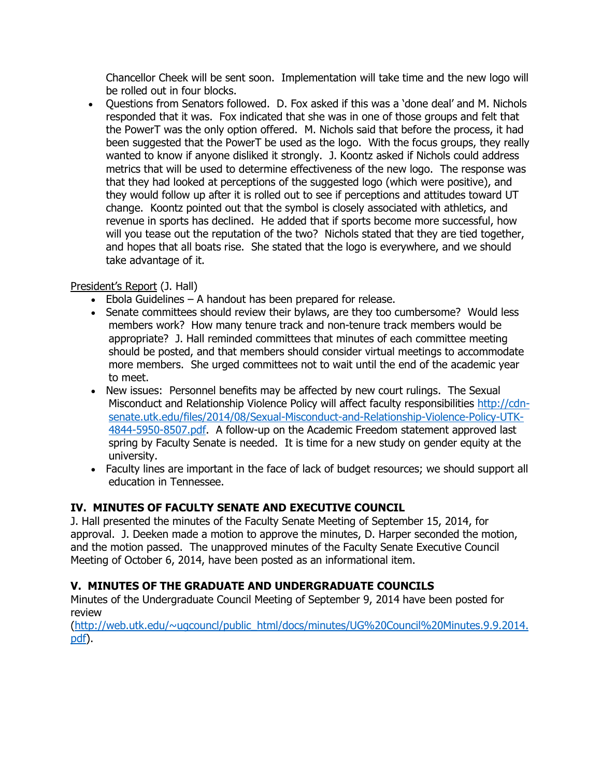Chancellor Cheek will be sent soon. Implementation will take time and the new logo will be rolled out in four blocks.

• Ouestions from Senators followed. D. Fox asked if this was a 'done deal' and M. Nichols responded that it was. Fox indicated that she was in one of those groups and felt that the PowerT was the only option offered. M. Nichols said that before the process, it had been suggested that the PowerT be used as the logo. With the focus groups, they really wanted to know if anyone disliked it strongly. J. Koontz asked if Nichols could address metrics that will be used to determine effectiveness of the new logo. The response was that they had looked at perceptions of the suggested logo (which were positive), and they would follow up after it is rolled out to see if perceptions and attitudes toward UT change. Koontz pointed out that the symbol is closely associated with athletics, and revenue in sports has declined. He added that if sports become more successful, how will you tease out the reputation of the two? Nichols stated that they are tied together, and hopes that all boats rise. She stated that the logo is everywhere, and we should take advantage of it.

# President's Report (J. Hall)

- Ebola Guidelines A handout has been prepared for release.
- Senate committees should review their bylaws, are they too cumbersome? Would less members work? How many tenure track and non-tenure track members would be appropriate? J. Hall reminded committees that minutes of each committee meeting should be posted, and that members should consider virtual meetings to accommodate more members. She urged committees not to wait until the end of the academic year to meet.
- New issues: Personnel benefits may be affected by new court rulings. The Sexual Misconduct and Relationship Violence Policy will affect faculty responsibilities [http://cdn](http://cdn-senate.utk.edu/files/2014/08/Sexual-Misconduct-and-Relationship-Violence-Policy-UTK-4844-5950-8507.pdf)[senate.utk.edu/files/2014/08/Sexual-Misconduct-and-Relationship-Violence-Policy-UTK-](http://cdn-senate.utk.edu/files/2014/08/Sexual-Misconduct-and-Relationship-Violence-Policy-UTK-4844-5950-8507.pdf)[4844-5950-8507.pdf.](http://cdn-senate.utk.edu/files/2014/08/Sexual-Misconduct-and-Relationship-Violence-Policy-UTK-4844-5950-8507.pdf) A follow-up on the Academic Freedom statement approved last spring by Faculty Senate is needed. It is time for a new study on gender equity at the university.
- Faculty lines are important in the face of lack of budget resources; we should support all education in Tennessee.

# **IV. MINUTES OF FACULTY SENATE AND EXECUTIVE COUNCIL**

J. Hall presented the minutes of the Faculty Senate Meeting of September 15, 2014, for approval. J. Deeken made a motion to approve the minutes, D. Harper seconded the motion, and the motion passed. The unapproved minutes of the Faculty Senate Executive Council Meeting of October 6, 2014, have been posted as an informational item.

# **V. MINUTES OF THE GRADUATE AND UNDERGRADUATE COUNCILS**

Minutes of the Undergraduate Council Meeting of September 9, 2014 have been posted for review

[\(http://web.utk.edu/~ugcouncl/public\\_html/docs/minutes/UG%20Council%20Minutes.9.9.2014.](http://web.utk.edu/~ugcouncl/public_html/docs/minutes/UG%20Council%20Minutes.9.9.2014.pdf) [pdf\)](http://web.utk.edu/~ugcouncl/public_html/docs/minutes/UG%20Council%20Minutes.9.9.2014.pdf).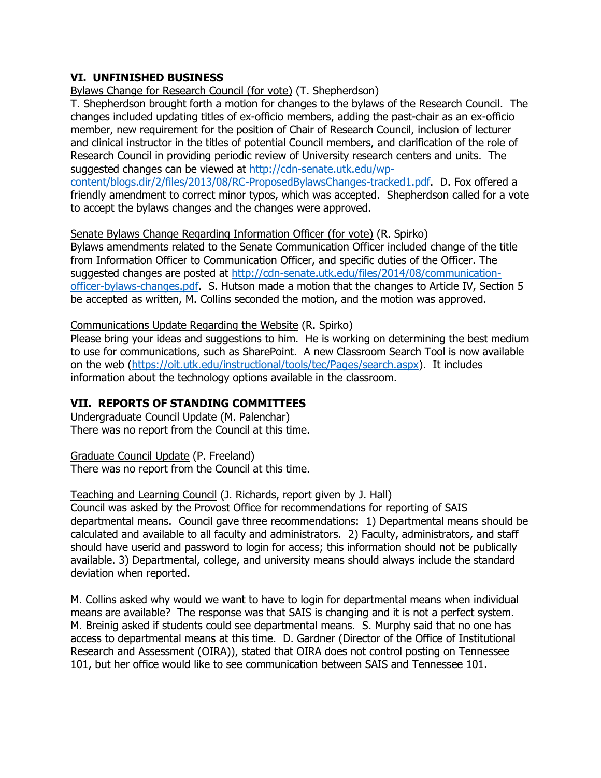## **VI. UNFINISHED BUSINESS**

Bylaws Change for Research Council (for vote) (T. Shepherdson)

T. Shepherdson brought forth a motion for changes to the bylaws of the Research Council. The changes included updating titles of ex-officio members, adding the past-chair as an ex-officio member, new requirement for the position of Chair of Research Council, inclusion of lecturer and clinical instructor in the titles of potential Council members, and clarification of the role of Research Council in providing periodic review of University research centers and units. The suggested changes can be viewed at [http://cdn-senate.utk.edu/wp-](http://cdn-senate.utk.edu/wp-content/blogs.dir/2/files/2013/08/RC-ProposedBylawsChanges-tracked1.pdf)

[content/blogs.dir/2/files/2013/08/RC-ProposedBylawsChanges-tracked1.pdf.](http://cdn-senate.utk.edu/wp-content/blogs.dir/2/files/2013/08/RC-ProposedBylawsChanges-tracked1.pdf) D. Fox offered a friendly amendment to correct minor typos, which was accepted. Shepherdson called for a vote to accept the bylaws changes and the changes were approved.

#### Senate Bylaws Change Regarding Information Officer (for vote) (R. Spirko)

Bylaws amendments related to the Senate Communication Officer included change of the title from Information Officer to Communication Officer, and specific duties of the Officer. The suggested changes are posted at [http://cdn-senate.utk.edu/files/2014/08/communication](http://cdn-senate.utk.edu/files/2014/08/communication-officer-bylaws-changes.pdf)[officer-bylaws-changes.pdf.](http://cdn-senate.utk.edu/files/2014/08/communication-officer-bylaws-changes.pdf) S. Hutson made a motion that the changes to Article IV, Section 5 be accepted as written, M. Collins seconded the motion, and the motion was approved.

### Communications Update Regarding the Website (R. Spirko)

Please bring your ideas and suggestions to him. He is working on determining the best medium to use for communications, such as SharePoint. A new Classroom Search Tool is now available on the web [\(https://oit.utk.edu/instructional/tools/tec/Pages/search.aspx\)](https://oit.utk.edu/instructional/tools/tec/Pages/search.aspx). It includes information about the technology options available in the classroom.

## **VII. REPORTS OF STANDING COMMITTEES**

Undergraduate Council Update (M. Palenchar) There was no report from the Council at this time.

Graduate Council Update (P. Freeland) There was no report from the Council at this time.

### Teaching and Learning Council (J. Richards, report given by J. Hall)

Council was asked by the Provost Office for recommendations for reporting of SAIS departmental means. Council gave three recommendations: 1) Departmental means should be calculated and available to all faculty and administrators. 2) Faculty, administrators, and staff should have userid and password to login for access; this information should not be publically available. 3) Departmental, college, and university means should always include the standard deviation when reported.

M. Collins asked why would we want to have to login for departmental means when individual means are available? The response was that SAIS is changing and it is not a perfect system. M. Breinig asked if students could see departmental means. S. Murphy said that no one has access to departmental means at this time. D. Gardner (Director of the Office of Institutional Research and Assessment (OIRA)), stated that OIRA does not control posting on Tennessee 101, but her office would like to see communication between SAIS and Tennessee 101.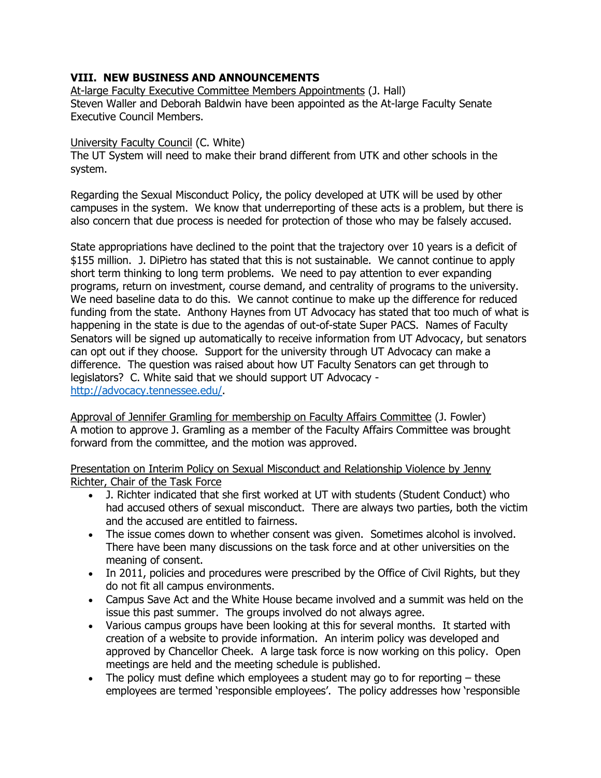## **VIII. NEW BUSINESS AND ANNOUNCEMENTS**

At-large Faculty Executive Committee Members Appointments (J. Hall) Steven Waller and Deborah Baldwin have been appointed as the At-large Faculty Senate Executive Council Members.

### University Faculty Council (C. White)

The UT System will need to make their brand different from UTK and other schools in the system.

Regarding the Sexual Misconduct Policy, the policy developed at UTK will be used by other campuses in the system. We know that underreporting of these acts is a problem, but there is also concern that due process is needed for protection of those who may be falsely accused.

State appropriations have declined to the point that the trajectory over 10 years is a deficit of \$155 million. J. DiPietro has stated that this is not sustainable. We cannot continue to apply short term thinking to long term problems. We need to pay attention to ever expanding programs, return on investment, course demand, and centrality of programs to the university. We need baseline data to do this. We cannot continue to make up the difference for reduced funding from the state. Anthony Haynes from UT Advocacy has stated that too much of what is happening in the state is due to the agendas of out-of-state Super PACS. Names of Faculty Senators will be signed up automatically to receive information from UT Advocacy, but senators can opt out if they choose. Support for the university through UT Advocacy can make a difference. The question was raised about how UT Faculty Senators can get through to legislators? C. White said that we should support UT Advocacy [http://advocacy.tennessee.edu/.](http://advocacy.tennessee.edu/)

Approval of Jennifer Gramling for membership on Faculty Affairs Committee (J. Fowler) A motion to approve J. Gramling as a member of the Faculty Affairs Committee was brought forward from the committee, and the motion was approved.

Presentation on Interim Policy on Sexual Misconduct and Relationship Violence by Jenny Richter, Chair of the Task Force

- J. Richter indicated that she first worked at UT with students (Student Conduct) who had accused others of sexual misconduct. There are always two parties, both the victim and the accused are entitled to fairness.
- The issue comes down to whether consent was given. Sometimes alcohol is involved. There have been many discussions on the task force and at other universities on the meaning of consent.
- In 2011, policies and procedures were prescribed by the Office of Civil Rights, but they do not fit all campus environments.
- Campus Save Act and the White House became involved and a summit was held on the issue this past summer. The groups involved do not always agree.
- Various campus groups have been looking at this for several months. It started with creation of a website to provide information. An interim policy was developed and approved by Chancellor Cheek. A large task force is now working on this policy. Open meetings are held and the meeting schedule is published.
- The policy must define which employees a student may go to for reporting  $-$  these employees are termed 'responsible employees'. The policy addresses how 'responsible